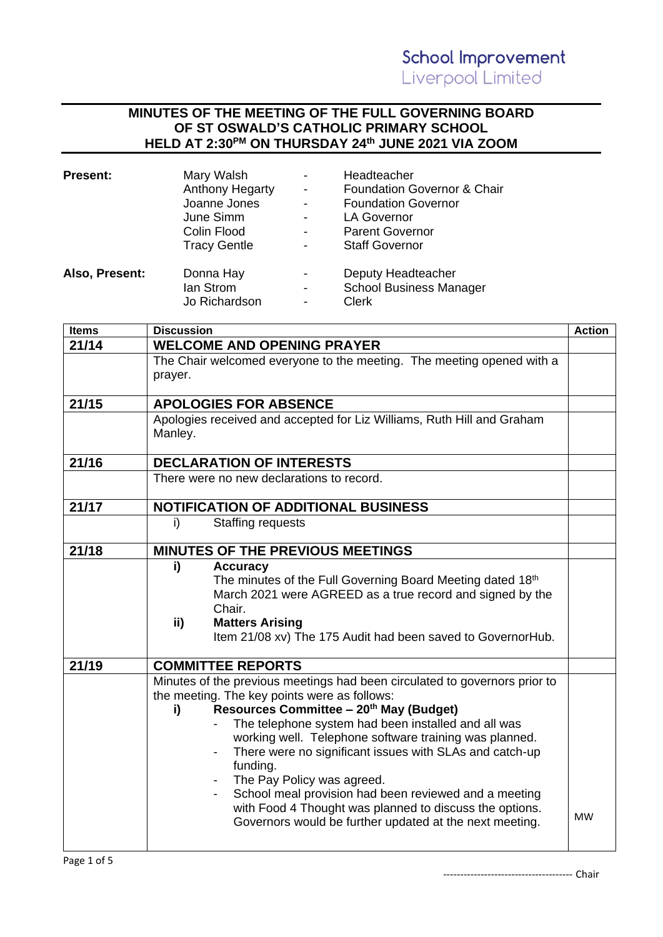## **MINUTES OF THE MEETING OF THE FULL GOVERNING BOARD OF ST OSWALD'S CATHOLIC PRIMARY SCHOOL HELD AT 2:30PM ON THURSDAY 24th JUNE 2021 VIA ZOOM**

| Present:       | Mary Walsh<br><b>Anthony Hegarty</b><br>Joanne Jones<br>June Simm<br>Colin Flood<br><b>Tracy Gentle</b> | Headteacher<br><b>Foundation Governor &amp; Chair</b><br><b>Foundation Governor</b><br><b>LA Governor</b><br><b>Parent Governor</b><br><b>Staff Governor</b> |
|----------------|---------------------------------------------------------------------------------------------------------|--------------------------------------------------------------------------------------------------------------------------------------------------------------|
| Also, Present: | Donna Hay<br>lan Strom<br>Jo Richardson                                                                 | Deputy Headteacher<br><b>School Business Manager</b><br><b>Clerk</b>                                                                                         |

| 21/14<br><b>WELCOME AND OPENING PRAYER</b><br>The Chair welcomed everyone to the meeting. The meeting opened with a<br>prayer.<br>21/15<br><b>APOLOGIES FOR ABSENCE</b><br>Apologies received and accepted for Liz Williams, Ruth Hill and Graham<br>Manley.<br>21/16<br><b>DECLARATION OF INTERESTS</b><br>There were no new declarations to record.<br>21/17<br>NOTIFICATION OF ADDITIONAL BUSINESS<br>i)<br><b>Staffing requests</b><br>21/18<br>MINUTES OF THE PREVIOUS MEETINGS |  |
|--------------------------------------------------------------------------------------------------------------------------------------------------------------------------------------------------------------------------------------------------------------------------------------------------------------------------------------------------------------------------------------------------------------------------------------------------------------------------------------|--|
|                                                                                                                                                                                                                                                                                                                                                                                                                                                                                      |  |
|                                                                                                                                                                                                                                                                                                                                                                                                                                                                                      |  |
|                                                                                                                                                                                                                                                                                                                                                                                                                                                                                      |  |
|                                                                                                                                                                                                                                                                                                                                                                                                                                                                                      |  |
|                                                                                                                                                                                                                                                                                                                                                                                                                                                                                      |  |
|                                                                                                                                                                                                                                                                                                                                                                                                                                                                                      |  |
|                                                                                                                                                                                                                                                                                                                                                                                                                                                                                      |  |
|                                                                                                                                                                                                                                                                                                                                                                                                                                                                                      |  |
|                                                                                                                                                                                                                                                                                                                                                                                                                                                                                      |  |
|                                                                                                                                                                                                                                                                                                                                                                                                                                                                                      |  |
|                                                                                                                                                                                                                                                                                                                                                                                                                                                                                      |  |
|                                                                                                                                                                                                                                                                                                                                                                                                                                                                                      |  |
|                                                                                                                                                                                                                                                                                                                                                                                                                                                                                      |  |
|                                                                                                                                                                                                                                                                                                                                                                                                                                                                                      |  |
|                                                                                                                                                                                                                                                                                                                                                                                                                                                                                      |  |
| i)<br><b>Accuracy</b>                                                                                                                                                                                                                                                                                                                                                                                                                                                                |  |
| The minutes of the Full Governing Board Meeting dated 18th                                                                                                                                                                                                                                                                                                                                                                                                                           |  |
| March 2021 were AGREED as a true record and signed by the                                                                                                                                                                                                                                                                                                                                                                                                                            |  |
| Chair.                                                                                                                                                                                                                                                                                                                                                                                                                                                                               |  |
| <b>Matters Arising</b><br>ii)                                                                                                                                                                                                                                                                                                                                                                                                                                                        |  |
| Item 21/08 xv) The 175 Audit had been saved to GovernorHub.                                                                                                                                                                                                                                                                                                                                                                                                                          |  |
|                                                                                                                                                                                                                                                                                                                                                                                                                                                                                      |  |
| 21/19<br><b>COMMITTEE REPORTS</b>                                                                                                                                                                                                                                                                                                                                                                                                                                                    |  |
| Minutes of the previous meetings had been circulated to governors prior to                                                                                                                                                                                                                                                                                                                                                                                                           |  |
| the meeting. The key points were as follows:                                                                                                                                                                                                                                                                                                                                                                                                                                         |  |
| Resources Committee - 20 <sup>th</sup> May (Budget)<br>i)                                                                                                                                                                                                                                                                                                                                                                                                                            |  |
| The telephone system had been installed and all was                                                                                                                                                                                                                                                                                                                                                                                                                                  |  |
| working well. Telephone software training was planned.                                                                                                                                                                                                                                                                                                                                                                                                                               |  |
| There were no significant issues with SLAs and catch-up                                                                                                                                                                                                                                                                                                                                                                                                                              |  |
| funding.                                                                                                                                                                                                                                                                                                                                                                                                                                                                             |  |
| The Pay Policy was agreed.<br>School meal provision had been reviewed and a meeting                                                                                                                                                                                                                                                                                                                                                                                                  |  |
| with Food 4 Thought was planned to discuss the options.                                                                                                                                                                                                                                                                                                                                                                                                                              |  |
| <b>MW</b><br>Governors would be further updated at the next meeting.                                                                                                                                                                                                                                                                                                                                                                                                                 |  |
|                                                                                                                                                                                                                                                                                                                                                                                                                                                                                      |  |
|                                                                                                                                                                                                                                                                                                                                                                                                                                                                                      |  |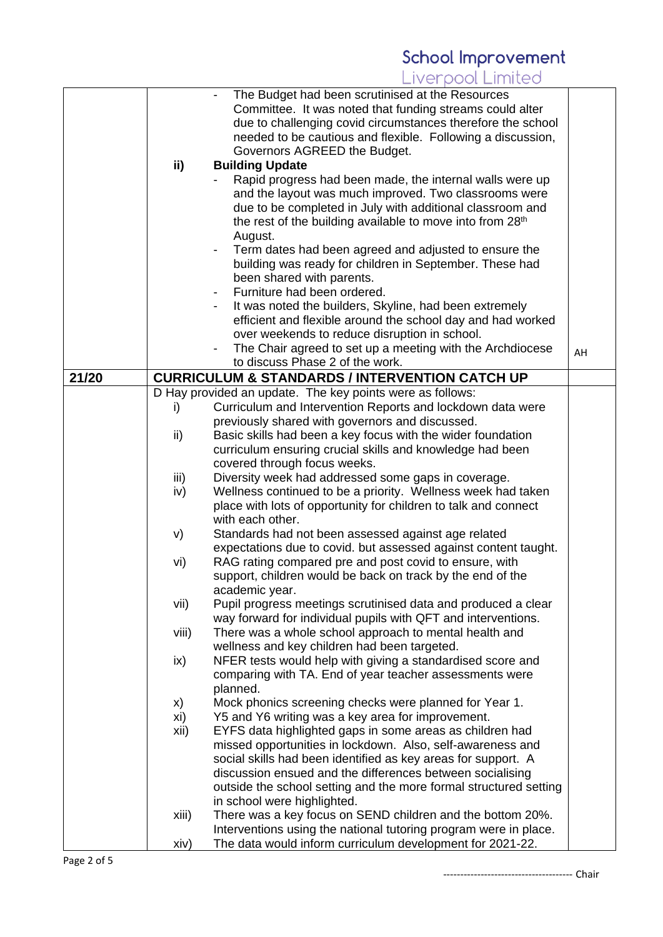|       |       | The Budget had been scrutinised at the Resources                      |    |
|-------|-------|-----------------------------------------------------------------------|----|
|       |       |                                                                       |    |
|       |       | Committee. It was noted that funding streams could alter              |    |
|       |       | due to challenging covid circumstances therefore the school           |    |
|       |       | needed to be cautious and flexible. Following a discussion,           |    |
|       |       | Governors AGREED the Budget.                                          |    |
|       | ii)   | <b>Building Update</b>                                                |    |
|       |       | Rapid progress had been made, the internal walls were up              |    |
|       |       | and the layout was much improved. Two classrooms were                 |    |
|       |       |                                                                       |    |
|       |       | due to be completed in July with additional classroom and             |    |
|       |       | the rest of the building available to move into from 28 <sup>th</sup> |    |
|       |       | August.                                                               |    |
|       |       | Term dates had been agreed and adjusted to ensure the                 |    |
|       |       | building was ready for children in September. These had               |    |
|       |       | been shared with parents.                                             |    |
|       |       | Furniture had been ordered.                                           |    |
|       |       | It was noted the builders, Skyline, had been extremely                |    |
|       |       |                                                                       |    |
|       |       | efficient and flexible around the school day and had worked           |    |
|       |       | over weekends to reduce disruption in school.                         |    |
|       |       | The Chair agreed to set up a meeting with the Archdiocese             | AH |
|       |       | to discuss Phase 2 of the work.                                       |    |
| 21/20 |       | <b>CURRICULUM &amp; STANDARDS / INTERVENTION CATCH UP</b>             |    |
|       |       | D Hay provided an update. The key points were as follows:             |    |
|       | i)    | Curriculum and Intervention Reports and lockdown data were            |    |
|       |       | previously shared with governors and discussed.                       |    |
|       | ii)   | Basic skills had been a key focus with the wider foundation           |    |
|       |       | curriculum ensuring crucial skills and knowledge had been             |    |
|       |       |                                                                       |    |
|       |       | covered through focus weeks.                                          |    |
|       | iii)  | Diversity week had addressed some gaps in coverage.                   |    |
|       | iv)   | Wellness continued to be a priority. Wellness week had taken          |    |
|       |       | place with lots of opportunity for children to talk and connect       |    |
|       |       | with each other.                                                      |    |
|       | V)    | Standards had not been assessed against age related                   |    |
|       |       | expectations due to covid. but assessed against content taught.       |    |
|       | vi)   | RAG rating compared pre and post covid to ensure, with                |    |
|       |       | support, children would be back on track by the end of the            |    |
|       |       |                                                                       |    |
|       |       | academic year.                                                        |    |
|       | vii)  | Pupil progress meetings scrutinised data and produced a clear         |    |
|       |       | way forward for individual pupils with QFT and interventions.         |    |
|       | viii) | There was a whole school approach to mental health and                |    |
|       |       | wellness and key children had been targeted.                          |    |
|       | ix)   | NFER tests would help with giving a standardised score and            |    |
|       |       | comparing with TA. End of year teacher assessments were               |    |
|       |       | planned.                                                              |    |
|       | X)    | Mock phonics screening checks were planned for Year 1.                |    |
|       | xi)   | Y5 and Y6 writing was a key area for improvement.                     |    |
|       |       |                                                                       |    |
|       | xii)  | EYFS data highlighted gaps in some areas as children had              |    |
|       |       | missed opportunities in lockdown. Also, self-awareness and            |    |
|       |       | social skills had been identified as key areas for support. A         |    |
|       |       | discussion ensued and the differences between socialising             |    |
|       |       | outside the school setting and the more formal structured setting     |    |
|       |       | in school were highlighted.                                           |    |
|       | xiii) | There was a key focus on SEND children and the bottom 20%.            |    |
|       |       | Interventions using the national tutoring program were in place.      |    |
|       | xiv)  | The data would inform curriculum development for 2021-22.             |    |
|       |       |                                                                       |    |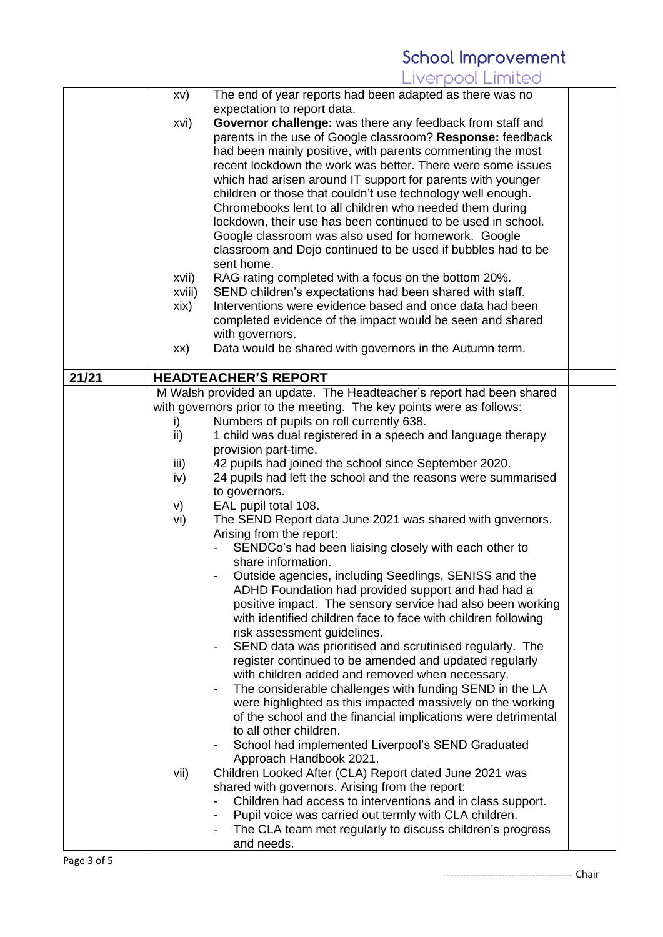|       | XV)    | The end of year reports had been adapted as there was no             |  |
|-------|--------|----------------------------------------------------------------------|--|
|       |        | expectation to report data.                                          |  |
|       | xvi)   | Governor challenge: was there any feedback from staff and            |  |
|       |        | parents in the use of Google classroom? Response: feedback           |  |
|       |        | had been mainly positive, with parents commenting the most           |  |
|       |        | recent lockdown the work was better. There were some issues          |  |
|       |        | which had arisen around IT support for parents with younger          |  |
|       |        | children or those that couldn't use technology well enough.          |  |
|       |        | Chromebooks lent to all children who needed them during              |  |
|       |        | lockdown, their use has been continued to be used in school.         |  |
|       |        | Google classroom was also used for homework. Google                  |  |
|       |        | classroom and Dojo continued to be used if bubbles had to be         |  |
|       |        | sent home.                                                           |  |
|       |        |                                                                      |  |
|       | xvii)  | RAG rating completed with a focus on the bottom 20%.                 |  |
|       | xviii) | SEND children's expectations had been shared with staff.             |  |
|       | xix)   | Interventions were evidence based and once data had been             |  |
|       |        | completed evidence of the impact would be seen and shared            |  |
|       |        | with governors.                                                      |  |
|       | XX)    | Data would be shared with governors in the Autumn term.              |  |
| 21/21 |        | <b>HEADTEACHER'S REPORT</b>                                          |  |
|       |        | M Walsh provided an update. The Headteacher's report had been shared |  |
|       |        | with governors prior to the meeting. The key points were as follows: |  |
|       | i)     | Numbers of pupils on roll currently 638.                             |  |
|       | ii)    | 1 child was dual registered in a speech and language therapy         |  |
|       |        | provision part-time.                                                 |  |
|       | iii)   | 42 pupils had joined the school since September 2020.                |  |
|       | iv)    | 24 pupils had left the school and the reasons were summarised        |  |
|       |        | to governors.                                                        |  |
|       | V)     | EAL pupil total 108.                                                 |  |
|       | vi)    | The SEND Report data June 2021 was shared with governors.            |  |
|       |        | Arising from the report:                                             |  |
|       |        | SENDCo's had been liaising closely with each other to                |  |
|       |        | share information.                                                   |  |
|       |        | Outside agencies, including Seedlings, SENISS and the                |  |
|       |        | ADHD Foundation had provided support and had had a                   |  |
|       |        | positive impact. The sensory service had also been working           |  |
|       |        | with identified children face to face with children following        |  |
|       |        | risk assessment guidelines.                                          |  |
|       |        | SEND data was prioritised and scrutinised regularly. The             |  |
|       |        | register continued to be amended and updated regularly               |  |
|       |        |                                                                      |  |
|       |        | with children added and removed when necessary.                      |  |
|       |        | The considerable challenges with funding SEND in the LA              |  |
|       |        | were highlighted as this impacted massively on the working           |  |
|       |        | of the school and the financial implications were detrimental        |  |
|       |        | to all other children.                                               |  |
|       |        | School had implemented Liverpool's SEND Graduated<br>-               |  |
|       |        | Approach Handbook 2021.                                              |  |
|       | vii)   | Children Looked After (CLA) Report dated June 2021 was               |  |
|       |        | shared with governors. Arising from the report:                      |  |
|       |        | Children had access to interventions and in class support.           |  |
|       |        | Pupil voice was carried out termly with CLA children.                |  |
|       |        | The CLA team met regularly to discuss children's progress            |  |
|       |        | and needs.                                                           |  |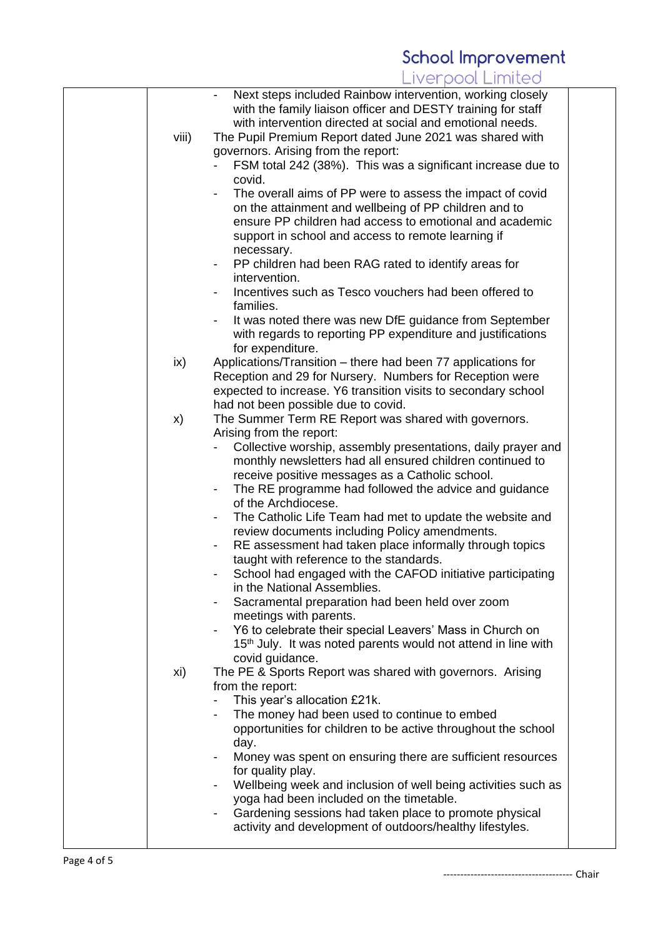| viii) | Next steps included Rainbow intervention, working closely<br>with the family liaison officer and DESTY training for staff<br>with intervention directed at social and emotional needs.<br>The Pupil Premium Report dated June 2021 was shared with<br>governors. Arising from the report:<br>FSM total 242 (38%). This was a significant increase due to<br>covid.<br>The overall aims of PP were to assess the impact of covid<br>on the attainment and wellbeing of PP children and to<br>ensure PP children had access to emotional and academic<br>support in school and access to remote learning if<br>necessary.<br>PP children had been RAG rated to identify areas for<br>$\overline{\phantom{a}}$<br>intervention.<br>Incentives such as Tesco vouchers had been offered to<br>$\overline{\phantom{0}}$                                                                                                                           |  |
|-------|---------------------------------------------------------------------------------------------------------------------------------------------------------------------------------------------------------------------------------------------------------------------------------------------------------------------------------------------------------------------------------------------------------------------------------------------------------------------------------------------------------------------------------------------------------------------------------------------------------------------------------------------------------------------------------------------------------------------------------------------------------------------------------------------------------------------------------------------------------------------------------------------------------------------------------------------|--|
|       | families.<br>It was noted there was new DfE guidance from September<br>with regards to reporting PP expenditure and justifications<br>for expenditure.                                                                                                                                                                                                                                                                                                                                                                                                                                                                                                                                                                                                                                                                                                                                                                                      |  |
| ix)   | Applications/Transition – there had been 77 applications for<br>Reception and 29 for Nursery. Numbers for Reception were<br>expected to increase. Y6 transition visits to secondary school<br>had not been possible due to covid.                                                                                                                                                                                                                                                                                                                                                                                                                                                                                                                                                                                                                                                                                                           |  |
| X)    | The Summer Term RE Report was shared with governors.<br>Arising from the report:<br>Collective worship, assembly presentations, daily prayer and<br>monthly newsletters had all ensured children continued to<br>receive positive messages as a Catholic school.<br>The RE programme had followed the advice and guidance<br>of the Archdiocese.<br>The Catholic Life Team had met to update the website and<br>$\overline{\phantom{a}}$<br>review documents including Policy amendments.<br>RE assessment had taken place informally through topics<br>Ξ.<br>taught with reference to the standards.<br>School had engaged with the CAFOD initiative participating<br>in the National Assemblies.<br>Sacramental preparation had been held over zoom<br>meetings with parents.<br>Y6 to celebrate their special Leavers' Mass in Church on<br>15 <sup>th</sup> July. It was noted parents would not attend in line with<br>covid guidance. |  |
| xi)   | The PE & Sports Report was shared with governors. Arising<br>from the report:<br>This year's allocation £21k.<br>The money had been used to continue to embed<br>opportunities for children to be active throughout the school<br>day.<br>Money was spent on ensuring there are sufficient resources<br>for quality play.<br>Wellbeing week and inclusion of well being activities such as<br>$\overline{\phantom{a}}$<br>yoga had been included on the timetable.<br>Gardening sessions had taken place to promote physical<br>activity and development of outdoors/healthy lifestyles.                                                                                                                                                                                                                                                                                                                                                    |  |